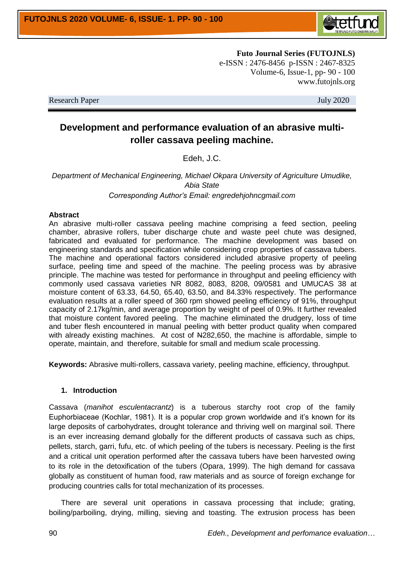

**Futo Journal Series (FUTOJNLS)** e-ISSN : 2476-8456 p-ISSN : 2467-8325 Volume-6, Issue-1, pp- 90 - 100 www.futojnls.org

Research Paper July 2020

# **Development and performance evaluation of an abrasive multiroller cassava peeling machine.**

Edeh, J.C.

*Department of Mechanical Engineering, Michael Okpara University of Agriculture Umudike, Abia State Corresponding Author's Email: engredehjohncgmail.com*

#### **Abstract**

An abrasive multi-roller cassava peeling machine comprising a feed section, peeling chamber, abrasive rollers, tuber discharge chute and waste peel chute was designed, fabricated and evaluated for performance. The machine development was based on engineering standards and specification while considering crop properties of cassava tubers. The machine and operational factors considered included abrasive property of peeling surface, peeling time and speed of the machine. The peeling process was by abrasive principle. The machine was tested for performance in throughput and peeling efficiency with commonly used cassava varieties NR 8082, 8083, 8208, 09/0581 and UMUCAS 38 at moisture content of 63.33, 64.50, 65.40, 63.50, and 84.33% respectively. The performance evaluation results at a roller speed of 360 rpm showed peeling efficiency of 91%, throughput capacity of 2.17kg/min, and average proportion by weight of peel of 0.9%. It further revealed that moisture content favored peeling. The machine eliminated the drudgery, loss of time and tuber flesh encountered in manual peeling with better product quality when compared with already existing machines. At cost of N282,650, the machine is affordable, simple to operate, maintain, and therefore, suitable for small and medium scale processing.

**Keywords:** Abrasive multi-rollers, cassava variety, peeling machine, efficiency, throughput.

# **1. Introduction**

Cassava (*manihot esculentacrantz*) is a tuberous starchy root crop of the family Euphorbiaceae (Kochlar, 1981). It is a popular crop grown worldwide and it's known for its large deposits of carbohydrates, drought tolerance and thriving well on marginal soil. There is an ever increasing demand globally for the different products of cassava such as chips, pellets, starch, garri, fufu, etc. of which peeling of the tubers is necessary. Peeling is the first and a critical unit operation performed after the cassava tubers have been harvested owing to its role in the detoxification of the tubers (Opara, 1999). The high demand for cassava globally as constituent of human food, raw materials and as source of foreign exchange for producing countries calls for total mechanization of its processes.

There are several unit operations in cassava processing that include; grating, boiling/parboiling, drying, milling, sieving and toasting. The extrusion process has been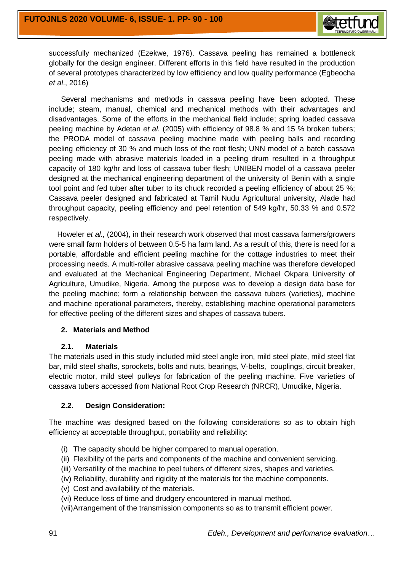

successfully mechanized (Ezekwe, 1976). Cassava peeling has remained a bottleneck globally for the design engineer. Different efforts in this field have resulted in the production of several prototypes characterized by low efficiency and low quality performance (Egbeocha *et al*., 2016)

Several mechanisms and methods in cassava peeling have been adopted. These include; steam, manual, chemical and mechanical methods with their advantages and disadvantages. Some of the efforts in the mechanical field include; spring loaded cassava peeling machine by Adetan *et al.* (2005) with efficiency of 98.8 % and 15 % broken tubers; the PRODA model of cassava peeling machine made with peeling balls and recording peeling efficiency of 30 % and much loss of the root flesh; UNN model of a batch cassava peeling made with abrasive materials loaded in a peeling drum resulted in a throughput capacity of 180 kg/hr and loss of cassava tuber flesh; UNIBEN model of a cassava peeler designed at the mechanical engineering department of the university of Benin with a single tool point and fed tuber after tuber to its chuck recorded a peeling efficiency of about 25 %; Cassava peeler designed and fabricated at Tamil Nudu Agricultural university, Alade had throughput capacity, peeling efficiency and peel retention of 549 kg/hr, 50.33 % and 0.572 respectively.

 Howeler *et al.,* (2004), in their research work observed that most cassava farmers/growers were small farm holders of between 0.5-5 ha farm land. As a result of this, there is need for a portable, affordable and efficient peeling machine for the cottage industries to meet their processing needs. A multi-roller abrasive cassava peeling machine was therefore developed and evaluated at the Mechanical Engineering Department, Michael Okpara University of Agriculture, Umudike, Nigeria. Among the purpose was to develop a design data base for the peeling machine; form a relationship between the cassava tubers (varieties), machine and machine operational parameters, thereby, establishing machine operational parameters for effective peeling of the different sizes and shapes of cassava tubers.

#### **2. Materials and Method**

#### **2.1. Materials**

The materials used in this study included mild steel angle iron, mild steel plate, mild steel flat bar, mild steel shafts, sprockets, bolts and nuts, bearings, V-belts, couplings, circuit breaker, electric motor, mild steel pulleys for fabrication of the peeling machine. Five varieties of cassava tubers accessed from National Root Crop Research (NRCR), Umudike, Nigeria.

# **2.2. Design Consideration:**

The machine was designed based on the following considerations so as to obtain high efficiency at acceptable throughput, portability and reliability:

- (i) The capacity should be higher compared to manual operation.
- (ii) Flexibility of the parts and components of the machine and convenient servicing.
- (iii) Versatility of the machine to peel tubers of different sizes, shapes and varieties.
- (iv) Reliability, durability and rigidity of the materials for the machine components.
- (v) Cost and availability of the materials.
- (vi) Reduce loss of time and drudgery encountered in manual method.
- (vii)Arrangement of the transmission components so as to transmit efficient power.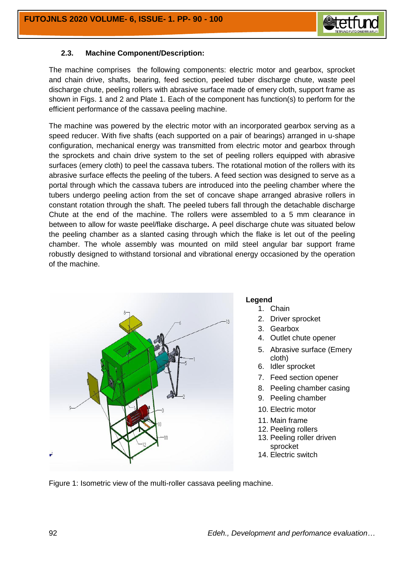

## **2.3. Machine Component/Description:**

The machine comprises the following components: electric motor and gearbox, sprocket and chain drive, shafts, bearing, feed section, peeled tuber discharge chute, waste peel discharge chute, peeling rollers with abrasive surface made of emery cloth, support frame as shown in Figs. 1 and 2 and Plate 1. Each of the component has function(s) to perform for the efficient performance of the cassava peeling machine.

The machine was powered by the electric motor with an incorporated gearbox serving as a speed reducer. With five shafts (each supported on a pair of bearings) arranged in u-shape configuration, mechanical energy was transmitted from electric motor and gearbox through the sprockets and chain drive system to the set of peeling rollers equipped with abrasive surfaces (emery cloth) to peel the cassava tubers. The rotational motion of the rollers with its abrasive surface effects the peeling of the tubers. A feed section was designed to serve as a portal through which the cassava tubers are introduced into the peeling chamber where the tubers undergo peeling action from the set of concave shape arranged abrasive rollers in constant rotation through the shaft. The peeled tubers fall through the detachable discharge Chute at the end of the machine. The rollers were assembled to a 5 mm clearance in between to allow for waste peel/flake discharge**.** A peel discharge chute was situated below the peeling chamber as a slanted casing through which the flake is let out of the peeling chamber. The whole assembly was mounted on mild steel angular bar support frame robustly designed to withstand torsional and vibrational energy occasioned by the operation of the machine.



#### **Legend**

- 1. Chain
- 2. Driver sprocket
- 3. Gearbox
- 4. Outlet chute opener
- 5. Abrasive surface (Emery cloth)
- 6. Idler sprocket
- 7. Feed section opener
- 8. Peeling chamber casing
- 9. Peeling chamber
- 10. Electric motor
- 11. Main frame
- 12. Peeling rollers
- 13. Peeling roller driven sprocket
- 14. Electric switch

Figure 1: Isometric view of the multi-roller cassava peeling machine.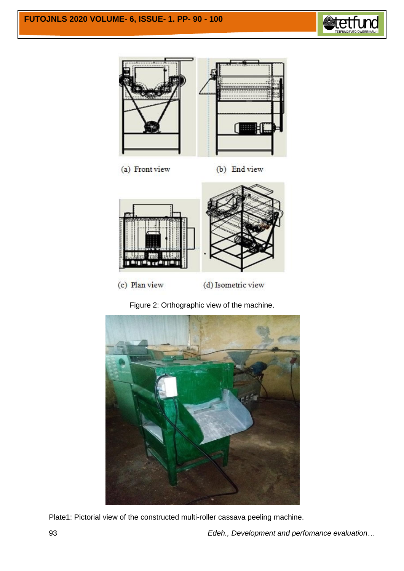



(a) Front view (b) End view



(d) Isometric view

Figure 2: Orthographic view of the machine.



Plate1: Pictorial view of the constructed multi-roller cassava peeling machine.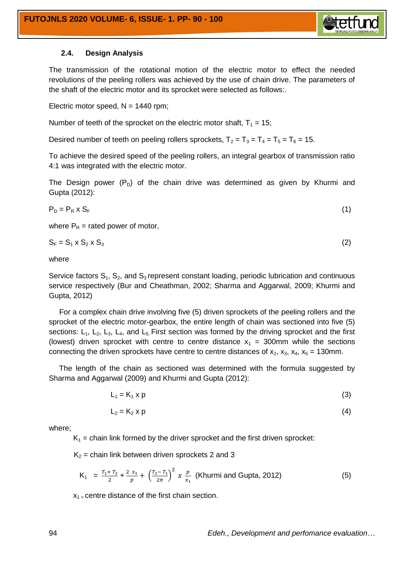

## **2.4. Design Analysis**

The transmission of the rotational motion of the electric motor to effect the needed revolutions of the peeling rollers was achieved by the use of chain drive. The parameters of the shaft of the electric motor and its sprocket were selected as follows:.

Electric motor speed,  $N = 1440$  rpm;

Number of teeth of the sprocket on the electric motor shaft,  $T_1 = 15$ ;

Desired number of teeth on peeling rollers sprockets,  $T_2 = T_3 = T_4 = T_5 = T_6 = 15$ .

To achieve the desired speed of the peeling rollers, an integral gearbox of transmission ratio 4:1 was integrated with the electric motor.

The Design power  $(P<sub>D</sub>)$  of the chain drive was determined as given by Khurmi and Gupta (2012):

$$
P_D = P_R \times S_F \tag{1}
$$

where  $P_R$  = rated power of motor,

$$
S_F = S_1 \times S_2 \times S_3 \tag{2}
$$

where

Service factors  $S_1$ ,  $S_2$ , and  $S_3$  represent constant loading, periodic lubrication and continuous service respectively (Bur and Cheathman, 2002; Sharma and Aggarwal, 2009; Khurmi and Gupta, 2012)

 For a complex chain drive involving five (5) driven sprockets of the peeling rollers and the sprocket of the electric motor-gearbox, the entire length of chain was sectioned into five (5) sections:  $L_1$ ,  $L_2$ ,  $L_3$ ,  $L_4$ , and  $L_5$ . First section was formed by the driving sprocket and the first (lowest) driven sprocket with centre to centre distance  $x_1 = 300$ mm while the sections connecting the driven sprockets have centre to centre distances of  $x_2$ ,  $x_3$ ,  $x_4$ ,  $x_5$  = 130mm.

 The length of the chain as sectioned was determined with the formula suggested by Sharma and Aggarwal (2009) and Khurmi and Gupta (2012):

$$
L_1 = K_1 \times p \tag{3}
$$

$$
L_2 = K_2 \times p \tag{4}
$$

where;

 $K_1$  = chain link formed by the driver sprocket and the first driven sprocket:

 $K_2$  = chain link between driven sprockets 2 and 3

$$
K_1 = \frac{T_1 + T_2}{2} + \frac{2 x_1}{p} + \left(\frac{T_2 - T_1}{2\pi}\right)^2 x \frac{p}{x_1}
$$
 (Khurm i and Gupta, 2012) (5)

 $x_1$  = centre distance of the first chain section.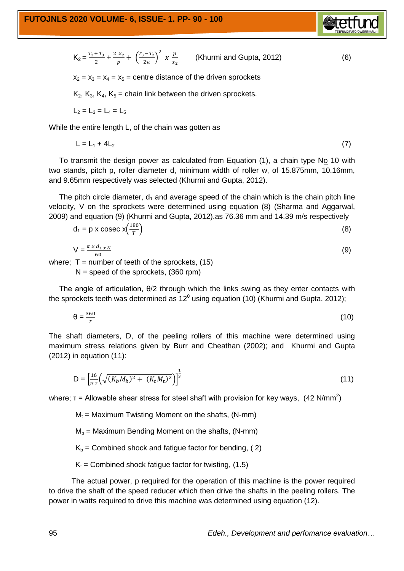$$
K_2 = \frac{T_2 + T_3}{2} + \frac{2 x_2}{p} + \left(\frac{T_3 - T_2}{2\pi}\right)^2 x \frac{p}{x_2}
$$
 (Khurm i and Gupta, 2012) (6)

 $x_2 = x_3 = x_4 = x_5$  = centre distance of the driven sprockets

 $K_2$ ,  $K_3$ ,  $K_4$ ,  $K_5$  = chain link between the driven sprockets.

$$
L_2 = L_3 = L_4 = L_5
$$

While the entire length L, of the chain was gotten as

$$
L = L_1 + 4L_2 \tag{7}
$$

 To transmit the design power as calculated from Equation (1), a chain type No 10 with two stands, pitch p, roller diameter d, minimum width of roller w, of 15.875mm, 10.16mm, and 9.65mm respectively was selected (Khurmi and Gupta, 2012).

The pitch circle diameter,  $d_1$  and average speed of the chain which is the chain pitch line velocity, V on the sprockets were determined using equation (8) (Sharma and Aggarwal, 2009) and equation (9) (Khurmi and Gupta, 2012).as 76.36 mm and 14.39 m/s respectively

$$
d_1 = p \times \csc x \left(\frac{180}{T}\right) \tag{8}
$$

$$
V = \frac{\pi x d_{1xN}}{60}
$$
 (9)

where;  $T =$  number of teeth of the sprockets, (15)  $N =$  speed of the sprockets, (360 rpm)

 The angle of articulation, θ/2 through which the links swing as they enter contacts with the sprockets teeth was determined as 12<sup>0</sup> using equation (10) (Khurmi and Gupta, 2012);

$$
\theta = \frac{360}{T} \tag{10}
$$

The shaft diameters, D, of the peeling rollers of this machine were determined using maximum stress relations given by Burr and Cheathan (2002); and Khurmi and Gupta (2012) in equation (11):

$$
D = \left[\frac{16}{\pi \tau} \left(\sqrt{(K_b M_b)^2 + (K_t M_t)^2}\right)\right]^{\frac{1}{3}}
$$
\n(11)

where;  $\tau$  = Allowable shear stress for steel shaft with provision for key ways, (42 N/mm<sup>2</sup>)

 $M_t$  = Maximum Twisting Moment on the shafts, (N-mm)

- $M_b$  = Maximum Bending Moment on the shafts, (N-mm)
- $K_b$  = Combined shock and fatigue factor for bending, (2)

 $K_t$  = Combined shock fatigue factor for twisting, (1.5)

 The actual power, p required for the operation of this machine is the power required to drive the shaft of the speed reducer which then drive the shafts in the peeling rollers. The power in watts required to drive this machine was determined using equation (12).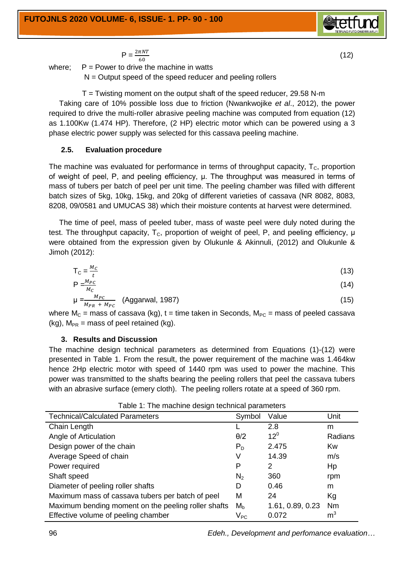$$
P = \frac{2\pi NT}{60} \tag{12}
$$

where;  $P = Power$  to drive the machine in watts

 $N =$  Output speed of the speed reducer and peeling rollers

 $T =$  Twisting moment on the output shaft of the speed reducer, 29.58 N-m

 Taking care of 10% possible loss due to friction (Nwankwojike *et al*., 2012), the power required to drive the multi-roller abrasive peeling machine was computed from equation (12) as 1.100Kw (1.474 HP). Therefore, (2 HP) electric motor which can be powered using a 3 phase electric power supply was selected for this cassava peeling machine.

# **2.5. Evaluation procedure**

The machine was evaluated for performance in terms of throughput capacity,  $T_c$ , proportion of weight of peel, P, and peeling efficiency, μ. The throughput was measured in terms of mass of tubers per batch of peel per unit time. The peeling chamber was filled with different batch sizes of 5kg, 10kg, 15kg, and 20kg of different varieties of cassava (NR 8082, 8083, 8208, 09/0581 and UMUCAS 38) which their moisture contents at harvest were determined.

 The time of peel, mass of peeled tuber, mass of waste peel were duly noted during the test. The throughput capacity,  $T_c$ , proportion of weight of peel, P, and peeling efficiency,  $\mu$ were obtained from the expression given by Olukunle & Akinnuli, (2012) and Olukunle & Jimoh (2012):

$$
T_C = \frac{M_C}{t} \tag{13}
$$

$$
\begin{array}{cc}\n\cdot & \cdot & \cdot \\
\downarrow & \downarrow & \n\end{array}
$$

$$
P = \frac{M_{PC}}{M_C}
$$
  
\n
$$
\mu = \frac{M_{PC}}{M_{PR} + M_{PC}}
$$
 (Aggarwal, 1987) (15)

where  $M_C$  = mass of cassava (kg), t = time taken in Seconds,  $M_{PC}$  = mass of peeled cassava  $(ka)$ ,  $M_{PR}$  = mass of peel retained  $(ka)$ .

#### **3. Results and Discussion**

The machine design technical parameters as determined from Equations (1)-(12) were presented in Table 1. From the result, the power requirement of the machine was 1.464kw hence 2Hp electric motor with speed of 1440 rpm was used to power the machine. This power was transmitted to the shafts bearing the peeling rollers that peel the cassava tubers with an abrasive surface (emery cloth). The peeling rollers rotate at a speed of 360 rpm.

| rapid 11. Tho machino accign toomnoal paramotoro    |                            |                  |                |  |  |  |
|-----------------------------------------------------|----------------------------|------------------|----------------|--|--|--|
| <b>Technical/Calculated Parameters</b>              | Symbol                     | Value            | Unit           |  |  |  |
| Chain Length                                        |                            | 2.8              | m              |  |  |  |
| Angle of Articulation                               | $\theta$ /2                | $12^{\circ}$     | Radians        |  |  |  |
| Design power of the chain                           | $P_D$                      | 2.475            | Kw             |  |  |  |
| Average Speed of chain                              | V                          | 14.39            | m/s            |  |  |  |
| Power required                                      | P                          | 2                | Hp             |  |  |  |
| Shaft speed                                         | N <sub>2</sub>             | 360              | rpm            |  |  |  |
| Diameter of peeling roller shafts                   | D                          | 0.46             | m              |  |  |  |
| Maximum mass of cassava tubers per batch of peel    | M                          | 24               | Кg             |  |  |  |
| Maximum bending moment on the peeling roller shafts | M <sub>b</sub>             | 1.61, 0.89, 0.23 | Nm             |  |  |  |
| Effective volume of peeling chamber                 | $\mathsf{V}_{\mathsf{PC}}$ | 0.072            | $\mathsf{m}^3$ |  |  |  |

Table 1: The machine design technical parameters

96 *Edeh., Development and perfomance evaluation…*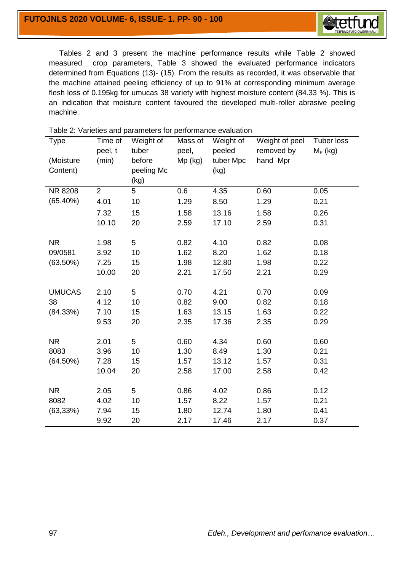

 Tables 2 and 3 present the machine performance results while Table 2 showed measured crop parameters, Table 3 showed the evaluated performance indicators determined from Equations (13)- (15). From the results as recorded, it was observable that the machine attained peeling efficiency of up to 91% at corresponding minimum average flesh loss of 0.195kg for umucas 38 variety with highest moisture content (84.33 %). This is an indication that moisture content favoured the developed multi-roller abrasive peeling machine.

| <b>Type</b>   | Time of<br>peel, t | Weight of<br>tuber | Mass of<br>peel, | Weight of<br>peeled | Weight of peel<br>removed by | Tuber loss<br>$M_F$ (kg) |
|---------------|--------------------|--------------------|------------------|---------------------|------------------------------|--------------------------|
| (Moisture     | (min)              | before             | Mp (kg)          | tuber Mpc           | hand Mpr                     |                          |
| Content)      |                    | peeling Mc         |                  | (kg)                |                              |                          |
|               |                    | (kg)               |                  |                     |                              |                          |
| NR 8208       | $\overline{2}$     | 5                  | 0.6              | 4.35                | 0.60                         | 0.05                     |
| (65.40%)      | 4.01               | 10                 | 1.29             | 8.50                | 1.29                         | 0.21                     |
|               | 7.32               | 15                 | 1.58             | 13.16               | 1.58                         | 0.26                     |
|               | 10.10              | 20                 | 2.59             | 17.10               | 2.59                         | 0.31                     |
|               |                    |                    |                  |                     |                              |                          |
| <b>NR</b>     | 1.98               | 5                  | 0.82             | 4.10                | 0.82                         | 0.08                     |
| 09/0581       | 3.92               | 10                 | 1.62             | 8.20                | 1.62                         | 0.18                     |
| $(63.50\%)$   | 7.25               | 15                 | 1.98             | 12.80               | 1.98                         | 0.22                     |
|               | 10.00              | 20                 | 2.21             | 17.50               | 2.21                         | 0.29                     |
|               |                    |                    |                  |                     |                              |                          |
| <b>UMUCAS</b> | 2.10               | 5                  | 0.70             | 4.21                | 0.70                         | 0.09                     |
| 38            | 4.12               | 10                 | 0.82             | 9.00                | 0.82                         | 0.18                     |
| (84.33%)      | 7.10               | 15                 | 1.63             | 13.15               | 1.63                         | 0.22                     |
|               | 9.53               | 20                 | 2.35             | 17.36               | 2.35                         | 0.29                     |
|               |                    |                    |                  |                     |                              |                          |
| <b>NR</b>     | 2.01               | 5                  | 0.60             | 4.34                | 0.60                         | 0.60                     |
| 8083          | 3.96               | 10                 | 1.30             | 8.49                | 1.30                         | 0.21                     |
| $(64.50\%)$   | 7.28               | 15                 | 1.57             | 13.12               | 1.57                         | 0.31                     |
|               | 10.04              | 20                 | 2.58             | 17.00               | 2.58                         | 0.42                     |
|               |                    |                    |                  |                     |                              |                          |
| <b>NR</b>     | 2.05               | 5                  | 0.86             | 4.02                | 0.86                         | 0.12                     |
| 8082          | 4.02               | 10                 | 1.57             | 8.22                | 1.57                         | 0.21                     |
| (63, 33%)     | 7.94               | 15                 | 1.80             | 12.74               | 1.80                         | 0.41                     |
|               | 9.92               | 20                 | 2.17             | 17.46               | 2.17                         | 0.37                     |

Table 2: Varieties and parameters for performance evaluation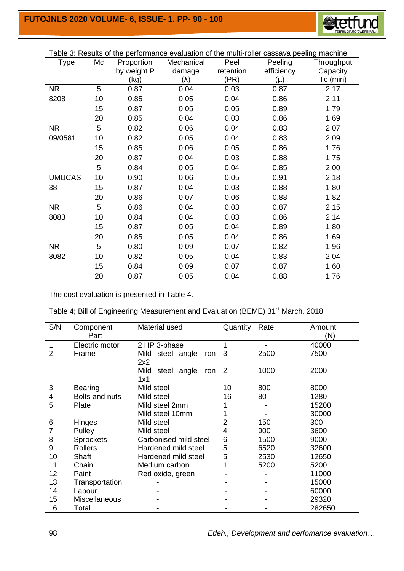

| Table 3: Results of the performance evaluation of the multi-roller cassava peeling machine |    |             |             |           |            |            |
|--------------------------------------------------------------------------------------------|----|-------------|-------------|-----------|------------|------------|
| Type                                                                                       | Mc | Proportion  | Mechanical  | Peel      | Peeling    | Throughput |
|                                                                                            |    | by weight P | damage      | retention | efficiency | Capacity   |
|                                                                                            |    | (kg)        | $(\lambda)$ | (PR)      | (μ)        | Tc (min)   |
| <b>NR</b>                                                                                  | 5  | 0.87        | 0.04        | 0.03      | 0.87       | 2.17       |
| 8208                                                                                       | 10 | 0.85        | 0.05        | 0.04      | 0.86       | 2.11       |
|                                                                                            | 15 | 0.87        | 0.05        | 0.05      | 0.89       | 1.79       |
|                                                                                            | 20 | 0.85        | 0.04        | 0.03      | 0.86       | 1.69       |
| <b>NR</b>                                                                                  | 5  | 0.82        | 0.06        | 0.04      | 0.83       | 2.07       |
| 09/0581                                                                                    | 10 | 0.82        | 0.05        | 0.04      | 0.83       | 2.09       |
|                                                                                            | 15 | 0.85        | 0.06        | 0.05      | 0.86       | 1.76       |
|                                                                                            | 20 | 0.87        | 0.04        | 0.03      | 0.88       | 1.75       |
|                                                                                            | 5  | 0.84        | 0.05        | 0.04      | 0.85       | 2.00       |
| <b>UMUCAS</b>                                                                              | 10 | 0.90        | 0.06        | 0.05      | 0.91       | 2.18       |
| 38                                                                                         | 15 | 0.87        | 0.04        | 0.03      | 0.88       | 1.80       |
|                                                                                            | 20 | 0.86        | 0.07        | 0.06      | 0.88       | 1.82       |
| NR.                                                                                        | 5  | 0.86        | 0.04        | 0.03      | 0.87       | 2.15       |
| 8083                                                                                       | 10 | 0.84        | 0.04        | 0.03      | 0.86       | 2.14       |
|                                                                                            | 15 | 0.87        | 0.05        | 0.04      | 0.89       | 1.80       |
|                                                                                            | 20 | 0.85        | 0.05        | 0.04      | 0.86       | 1.69       |
| <b>NR</b>                                                                                  | 5  | 0.80        | 0.09        | 0.07      | 0.82       | 1.96       |
| 8082                                                                                       | 10 | 0.82        | 0.05        | 0.04      | 0.83       | 2.04       |
|                                                                                            | 15 | 0.84        | 0.09        | 0.07      | 0.87       | 1.60       |
|                                                                                            | 20 | 0.87        | 0.05        | 0.04      | 0.88       | 1.76       |

The cost evaluation is presented in Table 4.

| S/N | Component<br>Part | Material used               | Quantity | Rate | Amount<br>(N) |
|-----|-------------------|-----------------------------|----------|------|---------------|
| 1   | Electric motor    | 2 HP 3-phase                | 1        |      | 40000         |
| 2   | Frame             | steel angle<br>Mild<br>iron | 3        | 2500 | 7500          |
|     |                   | 2x2                         |          |      |               |
|     |                   | Mild<br>steel angle iron 2  |          | 1000 | 2000          |
|     |                   | 1x1                         |          |      |               |
| 3   | <b>Bearing</b>    | Mild steel                  | 10       | 800  | 8000          |
| 4   | Bolts and nuts    | Mild steel                  | 16       | 80   | 1280          |
| 5   | Plate             | Mild steel 2mm              |          |      | 15200         |
|     |                   | Mild steel 10mm             |          |      | 30000         |
| 6   | Hinges            | Mild steel                  | 2        | 150  | 300           |
|     | Pulley            | Mild steel                  | 4        | 900  | 3600          |
| 8   | <b>Sprockets</b>  | Carbonised mild steel       | 6        | 1500 | 9000          |
| 9   | <b>Rollers</b>    | Hardened mild steel         | 5        | 6520 | 32600         |
| 10  | Shaft             | Hardened mild steel         | 5        | 2530 | 12650         |
| 11  | Chain             | Medium carbon               | 1        | 5200 | 5200          |
| 12  | Paint             | Red oxide, green            |          |      | 11000         |
| 13  | Transportation    |                             |          |      | 15000         |
| 14  | Labour            |                             |          |      | 60000         |
| 15  | Miscellaneous     |                             |          |      | 29320         |
| 16  | Total             |                             |          |      | 282650        |

98 *Edeh., Development and perfomance evaluation…*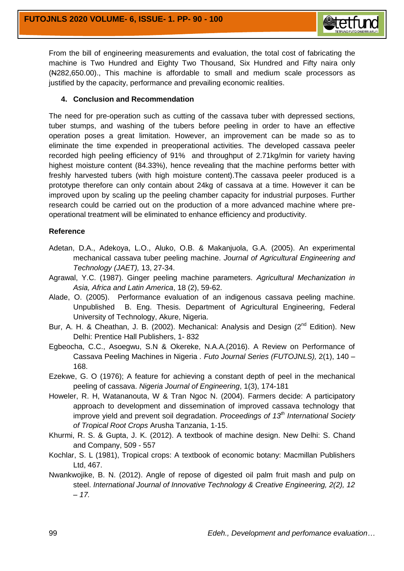

From the bill of engineering measurements and evaluation, the total cost of fabricating the machine is Two Hundred and Eighty Two Thousand, Six Hundred and Fifty naira only (N282,650.00)., This machine is affordable to small and medium scale processors as justified by the capacity, performance and prevailing economic realities.

#### **4. Conclusion and Recommendation**

The need for pre-operation such as cutting of the cassava tuber with depressed sections, tuber stumps, and washing of the tubers before peeling in order to have an effective operation poses a great limitation. However, an improvement can be made so as to eliminate the time expended in preoperational activities. The developed cassava peeler recorded high peeling efficiency of 91% and throughput of 2.71kg/min for variety having highest moisture content (84.33%), hence revealing that the machine performs better with freshly harvested tubers (with high moisture content).The cassava peeler produced is a prototype therefore can only contain about 24kg of cassava at a time. However it can be improved upon by scaling up the peeling chamber capacity for industrial purposes. Further research could be carried out on the production of a more advanced machine where preoperational treatment will be eliminated to enhance efficiency and productivity.

## **Reference**

- Adetan, D.A., Adekoya, L.O., Aluko, O.B. & Makanjuola, G.A. (2005). An experimental mechanical cassava tuber peeling machine. *Journal of Agricultural Engineering and Technology (JAET),* 13, 27-34.
- Agrawal, Y.C. (1987). Ginger peeling machine parameters. *Agricultural Mechanization in Asia, Africa and Latin America*, 18 (2), 59-62.
- Alade, O. (2005). Performance evaluation of an indigenous cassava peeling machine. Unpublished B. Eng. Thesis. Department of Agricultural Engineering, Federal University of Technology, Akure, Nigeria.
- Bur, A. H. & Cheathan, J. B. (2002). Mechanical: Analysis and Design (2<sup>nd</sup> Edition). New Delhi: Prentice Hall Publishers, 1- 832
- Egbeocha, C.C., Asoegwu, S.N & Okereke, N.A.A.(2016). A Review on Performance of Cassava Peeling Machines in Nigeria *. Futo Journal Series (FUTOJNLS),* 2(1), 140 – 168.
- Ezekwe, G. O (1976); A feature for achieving a constant depth of peel in the mechanical peeling of cassava. *Nigeria Journal of Engineering*, 1(3), 174-181
- Howeler, R. H, Watananouta, W & Tran Ngoc N. (2004). Farmers decide: A participatory approach to development and dissemination of improved cassava technology that improve yield and prevent soil degradation. *Proceedings of 13th International Society of Tropical Root Crops* Arusha Tanzania, 1-15.
- Khurmi, R. S. & Gupta, J. K. (2012). A textbook of machine design. New Delhi: S. Chand and Company, 509 - 557
- Kochlar, S. L (1981), Tropical crops: A textbook of economic botany: Macmillan Publishers Ltd, 467.
- Nwankwojike, B. N. (2012). Angle of repose of digested oil palm fruit mash and pulp on steel. *International Journal of Innovative Technology & Creative Engineering, 2(2), 12 – 17.*